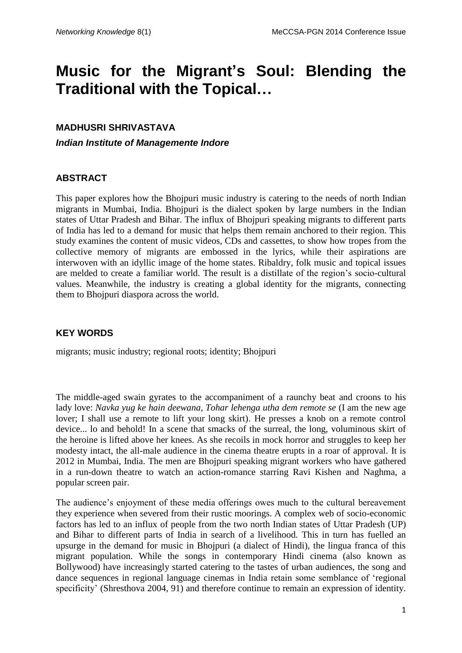# **Music for the Migrant's Soul: Blending the Traditional with the Topical…**

### **MADHUSRI SHRIVASTAVA**

*Indian Institute of Managemente Indore*

## **ABSTRACT**

This paper explores how the Bhojpuri music industry is catering to the needs of north Indian migrants in Mumbai, India. Bhojpuri is the dialect spoken by large numbers in the Indian states of Uttar Pradesh and Bihar. The influx of Bhojpuri speaking migrants to different parts of India has led to a demand for music that helps them remain anchored to their region. This study examines the content of music videos, CDs and cassettes, to show how tropes from the collective memory of migrants are embossed in the lyrics, while their aspirations are interwoven with an idyllic image of the home states. Ribaldry, folk music and topical issues are melded to create a familiar world. The result is a distillate of the region's socio-cultural values. Meanwhile, the industry is creating a global identity for the migrants, connecting them to Bhojpuri diaspora across the world.

## **KEY WORDS**

migrants; music industry; regional roots; identity; Bhojpuri

The middle-aged swain gyrates to the accompaniment of a raunchy beat and croons to his lady love: *Navka yug ke hain deewana, Tohar lehenga utha dem remote se* (I am the new age lover; I shall use a remote to lift your long skirt). He presses a knob on a remote control device... lo and behold! In a scene that smacks of the surreal, the long, voluminous skirt of the heroine is lifted above her knees. As she recoils in mock horror and struggles to keep her modesty intact, the all-male audience in the cinema theatre erupts in a roar of approval. It is 2012 in Mumbai, India. The men are Bhojpuri speaking migrant workers who have gathered in a run-down theatre to watch an action-romance starring Ravi Kishen and Naghma, a popular screen pair.

The audience's enjoyment of these media offerings owes much to the cultural bereavement they experience when severed from their rustic moorings. A complex web of socio-economic factors has led to an influx of people from the two north Indian states of Uttar Pradesh (UP) and Bihar to different parts of India in search of a livelihood. This in turn has fuelled an upsurge in the demand for music in Bhojpuri (a dialect of Hindi), the lingua franca of this migrant population. While the songs in contemporary Hindi cinema (also known as Bollywood) have increasingly started catering to the tastes of urban audiences, the song and dance sequences in regional language cinemas in India retain some semblance of 'regional specificity' (Shresthova 2004, 91) and therefore continue to remain an expression of identity.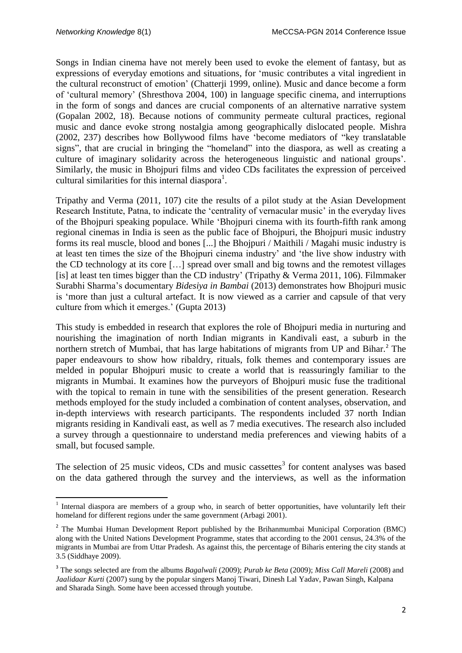**.** 

Songs in Indian cinema have not merely been used to evoke the element of fantasy, but as expressions of everyday emotions and situations, for 'music contributes a vital ingredient in the cultural reconstruct of emotion' (Chatterji 1999, online). Music and dance become a form of 'cultural memory' (Shresthova 2004, 100) in language specific cinema, and interruptions in the form of songs and dances are crucial components of an alternative narrative system (Gopalan 2002, 18). Because notions of community permeate cultural practices, regional music and dance evoke strong nostalgia among geographically dislocated people. Mishra (2002, 237) describes how Bollywood films have 'become mediators of "key translatable signs", that are crucial in bringing the "homeland" into the diaspora, as well as creating a culture of imaginary solidarity across the heterogeneous linguistic and national groups'. Similarly, the music in Bhojpuri films and video CDs facilitates the expression of perceived cultural similarities for this internal diaspora<sup>1</sup>.

Tripathy and Verma (2011, 107) cite the results of a pilot study at the Asian Development Research Institute, Patna, to indicate the 'centrality of vernacular music' in the everyday lives of the Bhojpuri speaking populace. While 'Bhojpuri cinema with its fourth-fifth rank among regional cinemas in India is seen as the public face of Bhojpuri, the Bhojpuri music industry forms its real muscle, blood and bones [...] the Bhojpuri / Maithili / Magahi music industry is at least ten times the size of the Bhojpuri cinema industry' and 'the live show industry with the CD technology at its core […] spread over small and big towns and the remotest villages [is] at least ten times bigger than the CD industry' (Tripathy  $&$  Verma 2011, 106). Filmmaker Surabhi Sharma's documentary *Bidesiya in Bambai* (2013) demonstrates how Bhojpuri music is 'more than just a cultural artefact. It is now viewed as a carrier and capsule of that very culture from which it emerges.' (Gupta 2013)

This study is embedded in research that explores the role of Bhojpuri media in nurturing and nourishing the imagination of north Indian migrants in Kandivali east, a suburb in the northern stretch of Mumbai, that has large habitations of migrants from UP and Bihar.<sup>2</sup> The paper endeavours to show how ribaldry, rituals, folk themes and contemporary issues are melded in popular Bhojpuri music to create a world that is reassuringly familiar to the migrants in Mumbai. It examines how the purveyors of Bhojpuri music fuse the traditional with the topical to remain in tune with the sensibilities of the present generation. Research methods employed for the study included a combination of content analyses, observation, and in-depth interviews with research participants. The respondents included 37 north Indian migrants residing in Kandivali east, as well as 7 media executives. The research also included a survey through a questionnaire to understand media preferences and viewing habits of a small, but focused sample.

The selection of 25 music videos, CDs and music cassettes<sup>3</sup> for content analyses was based on the data gathered through the survey and the interviews, as well as the information

<sup>&</sup>lt;sup>1</sup> Internal diaspora are members of a group who, in search of better opportunities, have voluntarily left their homeland for different regions under the same government (Arbagi 2001).

<sup>&</sup>lt;sup>2</sup> The Mumbai Human Development Report published by the Brihanmumbai Municipal Corporation (BMC) along with the United Nations Development Programme, states that according to the 2001 census, 24.3% of the migrants in Mumbai are from Uttar Pradesh. As against this, the percentage of Biharis entering the city stands at 3.5 (Siddhaye 2009).

<sup>3</sup> The songs selected are from the albums *Bagalwali* (2009); *Purab ke Beta* (2009); *Miss Call Mareli* (2008) and *Jaalidaar Kurti* (2007) sung by the popular singers Manoj Tiwari, Dinesh Lal Yadav, Pawan Singh, Kalpana and Sharada Singh. Some have been accessed through youtube.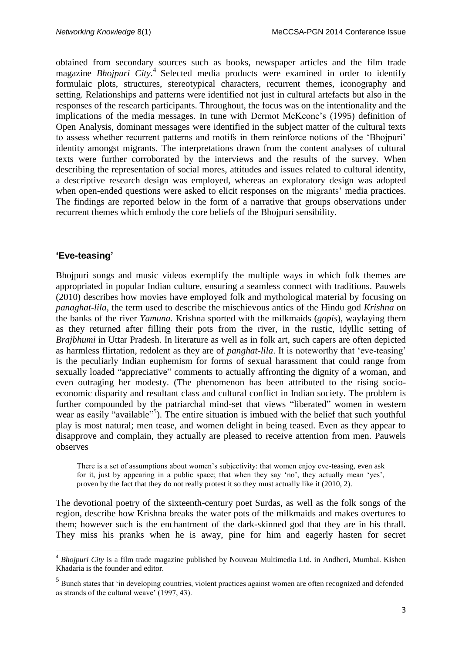obtained from secondary sources such as books, newspaper articles and the film trade magazine *Bhojpuri City.* 4 Selected media products were examined in order to identify formulaic plots, structures, stereotypical characters, recurrent themes, iconography and setting. Relationships and patterns were identified not just in cultural artefacts but also in the responses of the research participants. Throughout, the focus was on the intentionality and the implications of the media messages. In tune with Dermot McKeone's (1995) definition of Open Analysis, dominant messages were identified in the subject matter of the cultural texts to assess whether recurrent patterns and motifs in them reinforce notions of the 'Bhojpuri' identity amongst migrants. The interpretations drawn from the content analyses of cultural texts were further corroborated by the interviews and the results of the survey. When describing the representation of social mores, attitudes and issues related to cultural identity, a descriptive research design was employed, whereas an exploratory design was adopted when open-ended questions were asked to elicit responses on the migrants' media practices. The findings are reported below in the form of a narrative that groups observations under recurrent themes which embody the core beliefs of the Bhojpuri sensibility.

#### **'Eve-teasing'**

1

Bhojpuri songs and music videos exemplify the multiple ways in which folk themes are appropriated in popular Indian culture, ensuring a seamless connect with traditions. Pauwels (2010) describes how movies have employed folk and mythological material by focusing on *panaghat-lila*, the term used to describe the mischievous antics of the Hindu god *Krishna* on the banks of the river *Yamuna*. Krishna sported with the milkmaids (*gopis*), waylaying them as they returned after filling their pots from the river, in the rustic, idyllic setting of *Brajbhumi* in Uttar Pradesh. In literature as well as in folk art, such capers are often depicted as harmless flirtation, redolent as they are of *panghat-lila*. It is noteworthy that 'eve-teasing' is the peculiarly Indian euphemism for forms of sexual harassment that could range from sexually loaded "appreciative" comments to actually affronting the dignity of a woman, and even outraging her modesty. (The phenomenon has been attributed to the rising socioeconomic disparity and resultant class and cultural conflict in Indian society. The problem is further compounded by the patriarchal mind-set that views "liberated" women in western wear as easily "available"<sup>5</sup>). The entire situation is imbued with the belief that such youthful play is most natural; men tease, and women delight in being teased. Even as they appear to disapprove and complain, they actually are pleased to receive attention from men. Pauwels observes

There is a set of assumptions about women's subjectivity: that women enjoy eve-teasing, even ask for it, just by appearing in a public space; that when they say 'no', they actually mean 'yes', proven by the fact that they do not really protest it so they must actually like it (2010, 2).

The devotional poetry of the sixteenth-century poet Surdas, as well as the folk songs of the region, describe how Krishna breaks the water pots of the milkmaids and makes overtures to them; however such is the enchantment of the dark-skinned god that they are in his thrall. They miss his pranks when he is away, pine for him and eagerly hasten for secret

<sup>4</sup> *Bhojpuri City* is a film trade magazine published by Nouveau Multimedia Ltd. in Andheri, Mumbai. Kishen Khadaria is the founder and editor.

<sup>&</sup>lt;sup>5</sup> Bunch states that 'in developing countries, violent practices against women are often recognized and defended as strands of the cultural weave' (1997, 43).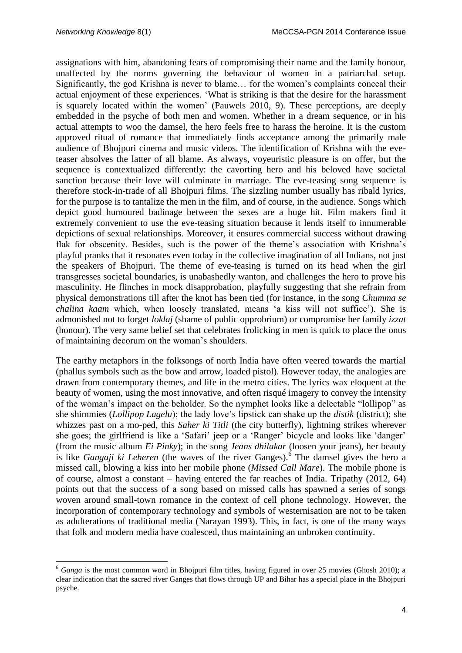1

assignations with him, abandoning fears of compromising their name and the family honour, unaffected by the norms governing the behaviour of women in a patriarchal setup. Significantly, the god Krishna is never to blame… for the women's complaints conceal their actual enjoyment of these experiences. 'What is striking is that the desire for the harassment is squarely located within the women' (Pauwels 2010, 9). These perceptions, are deeply embedded in the psyche of both men and women. Whether in a dream sequence, or in his actual attempts to woo the damsel, the hero feels free to harass the heroine. It is the custom approved ritual of romance that immediately finds acceptance among the primarily male audience of Bhojpuri cinema and music videos. The identification of Krishna with the eveteaser absolves the latter of all blame. As always, voyeuristic pleasure is on offer, but the sequence is contextualized differently: the cavorting hero and his beloved have societal sanction because their love will culminate in marriage. The eve-teasing song sequence is therefore stock-in-trade of all Bhojpuri films. The sizzling number usually has ribald lyrics, for the purpose is to tantalize the men in the film, and of course, in the audience. Songs which depict good humoured badinage between the sexes are a huge hit. Film makers find it extremely convenient to use the eve-teasing situation because it lends itself to innumerable depictions of sexual relationships. Moreover, it ensures commercial success without drawing flak for obscenity. Besides, such is the power of the theme's association with Krishna's playful pranks that it resonates even today in the collective imagination of all Indians, not just the speakers of Bhojpuri. The theme of eve-teasing is turned on its head when the girl transgresses societal boundaries, is unabashedly wanton, and challenges the hero to prove his masculinity. He flinches in mock disapprobation, playfully suggesting that she refrain from physical demonstrations till after the knot has been tied (for instance, in the song *Chumma se chalina kaam* which, when loosely translated, means 'a kiss will not suffice'). She is admonished not to forget *loklaj* (shame of public opprobrium) or compromise her family *izzat* (honour). The very same belief set that celebrates frolicking in men is quick to place the onus of maintaining decorum on the woman's shoulders.

The earthy metaphors in the folksongs of north India have often veered towards the martial (phallus symbols such as the bow and arrow, loaded pistol). However today, the analogies are drawn from contemporary themes, and life in the metro cities. The lyrics wax eloquent at the beauty of women, using the most innovative, and often risqué imagery to convey the intensity of the woman's impact on the beholder. So the nymphet looks like a delectable "lollipop" as she shimmies (*Lollipop Lagelu*); the lady love's lipstick can shake up the *distik* (district); she whizzes past on a mo-ped, this *Saher ki Titli* (the city butterfly), lightning strikes wherever she goes; the girlfriend is like a 'Safari' jeep or a 'Ranger' bicycle and looks like 'danger' (from the music album *Ei Pinky*); in the song *Jeans dhilakar* (loosen your jeans), her beauty is like *Gangaji ki Leheren* (the waves of the river Ganges).<sup>6</sup> The damsel gives the hero a missed call, blowing a kiss into her mobile phone (*Missed Call Mare*). The mobile phone is of course, almost a constant – having entered the far reaches of India. Tripathy (2012, 64) points out that the success of a song based on missed calls has spawned a series of songs woven around small-town romance in the context of cell phone technology. However, the incorporation of contemporary technology and symbols of westernisation are not to be taken as adulterations of traditional media (Narayan 1993). This, in fact, is one of the many ways that folk and modern media have coalesced, thus maintaining an unbroken continuity.

<sup>&</sup>lt;sup>6</sup> *Ganga* is the most common word in Bhojpuri film titles, having figured in over 25 movies (Ghosh 2010); a clear indication that the sacred river Ganges that flows through UP and Bihar has a special place in the Bhojpuri psyche.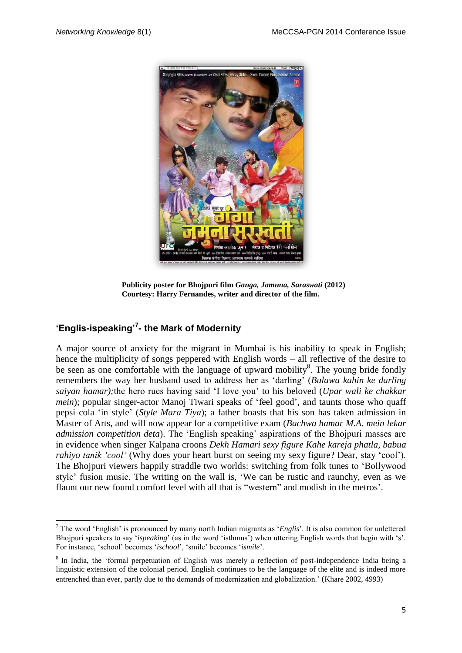

**Publicity poster for Bhojpuri film** *Ganga, Jamuna, Saraswati* **(2012) Courtesy: Harry Fernandes, writer and director of the film.**

# **'Englis-ispeaking'<sup>7</sup> - the Mark of Modernity**

**.** 

A major source of anxiety for the migrant in Mumbai is his inability to speak in English; hence the multiplicity of songs peppered with English words – all reflective of the desire to be seen as one comfortable with the language of upward mobility<sup>8</sup>. The young bride fondly remembers the way her husband used to address her as 'darling' (*Bulawa kahin ke darling saiyan hamar);*the hero rues having said 'I love you' to his beloved (*Upar wali ke chakkar mein*); popular singer-actor Manoj Tiwari speaks of 'feel good', and taunts those who quaff pepsi cola 'in style' (*Style Mara Tiya*); a father boasts that his son has taken admission in Master of Arts, and will now appear for a competitive exam (*Bachwa hamar M.A. mein lekar admission competition deta*). The 'English speaking' aspirations of the Bhojpuri masses are in evidence when singer Kalpana croons *Dekh Hamari sexy figure Kahe kareja phatla, babua rahiyo tanik 'cool'* (Why does your heart burst on seeing my sexy figure? Dear, stay 'cool'). The Bhojpuri viewers happily straddle two worlds: switching from folk tunes to 'Bollywood style' fusion music. The writing on the wall is, 'We can be rustic and raunchy, even as we flaunt our new found comfort level with all that is "western" and modish in the metros'.

<sup>7</sup> The word 'English' is pronounced by many north Indian migrants as '*Englis*'. It is also common for unlettered Bhojpuri speakers to say '*ispeaking*' (as in the word 'isthmus') when uttering English words that begin with 's'. For instance, 'school' becomes '*ischool*', 'smile' becomes '*ismile*'.

<sup>&</sup>lt;sup>8</sup> In India, the 'formal perpetuation of English was merely a reflection of post-independence India being a linguistic extension of the colonial period. English continues to be the language of the elite and is indeed more entrenched than ever, partly due to the demands of modernization and globalization.' (Khare 2002, 4993)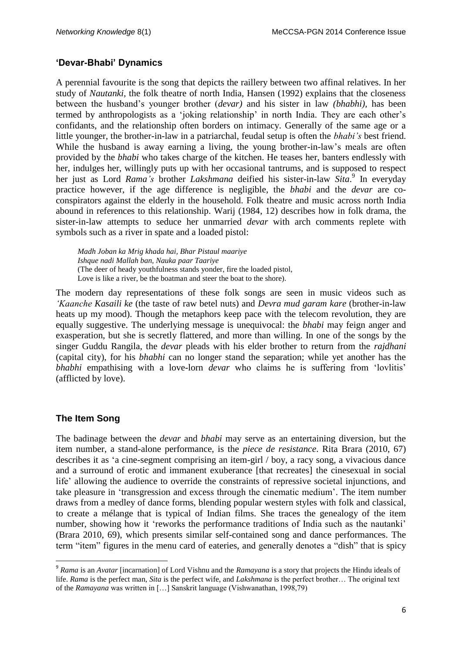## **'Devar-Bhabi' Dynamics**

A perennial favourite is the song that depicts the raillery between two affinal relatives. In her study of *Nautanki,* the folk theatre of north India, Hansen (1992) explains that the closeness between the husband's younger brother (*devar)* and his sister in law *(bhabhi),* has been termed by anthropologists as a 'joking relationship' in north India. They are each other's confidants, and the relationship often borders on intimacy. Generally of the same age or a little younger, the brother-in-law in a patriarchal, feudal setup is often the *bhabi's* best friend. While the husband is away earning a living, the young brother-in-law's meals are often provided by the *bhabi* who takes charge of the kitchen. He teases her, banters endlessly with her, indulges her, willingly puts up with her occasional tantrums, and is supposed to respect her just as Lord *Rama's* brother *Lakshmana* deified his sister-in-law *Sita*. 9 In everyday practice however, if the age difference is negligible, the *bhabi* and the *devar* are coconspirators against the elderly in the household. Folk theatre and music across north India abound in references to this relationship. Warij (1984, 12) describes how in folk drama, the sister-in-law attempts to seduce her unmarried *devar* with arch comments replete with symbols such as a river in spate and a loaded pistol:

*Madh Joban ka Mrig khada hai, Bhar Pistaul maariye Ishque nadi Mallah ban, Nauka paar Taariye* (The deer of heady youthfulness stands yonder, fire the loaded pistol, Love is like a river, be the boatman and steer the boat to the shore).

The modern day representations of these folk songs are seen in music videos such as *'Kaanche Kasaili ke* (the taste of raw betel nuts) and *Devra mud garam kare* (brother-in-law heats up my mood). Though the metaphors keep pace with the telecom revolution, they are equally suggestive. The underlying message is unequivocal: the *bhabi* may feign anger and exasperation, but she is secretly flattered, and more than willing. In one of the songs by the singer Guddu Rangila, the *devar* pleads with his elder brother to return from the *rajdhani* (capital city), for his *bhabhi* can no longer stand the separation; while yet another has the *bhabhi* empathising with a love-lorn *devar* who claims he is suffering from 'lovlitis' (afflicted by love).

# **The Item Song**

**.** 

The badinage between the *devar* and *bhabi* may serve as an entertaining diversion, but the item number, a stand-alone performance, is the *piece de resistance*. Rita Brara (2010, 67) describes it as 'a cine-segment comprising an item-girl / boy, a racy song, a vivacious dance and a surround of erotic and immanent exuberance [that recreates] the cinesexual in social life' allowing the audience to override the constraints of repressive societal injunctions, and take pleasure in 'transgression and excess through the cinematic medium'. The item number draws from a medley of dance forms, blending popular western styles with folk and classical, to create a mélange that is typical of Indian films. She traces the genealogy of the item number, showing how it 'reworks the performance traditions of India such as the nautanki' (Brara 2010, 69), which presents similar self-contained song and dance performances. The term "item" figures in the menu card of eateries, and generally denotes a "dish" that is spicy

<sup>9</sup> *Rama* is an *Avatar* [incarnation] of Lord Vishnu and the *Ramayana* is a story that projects the Hindu ideals of life. *Rama* is the perfect man, *Sita* is the perfect wife, and *Lakshmana* is the perfect brother… The original text of the *Ramayana* was written in […] Sanskrit language (Vishwanathan, 1998,79)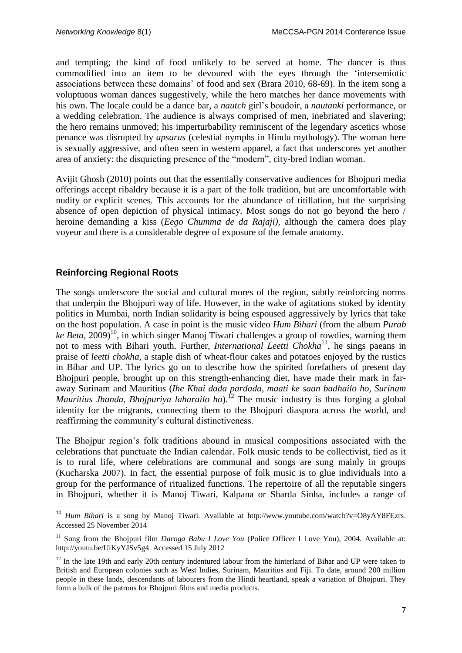and tempting; the kind of food unlikely to be served at home. The dancer is thus commodified into an item to be devoured with the eyes through the 'intersemiotic associations between these domains' of food and sex (Brara 2010, 68-69). In the item song a voluptuous woman dances suggestively, while the hero matches her dance movements with his own. The locale could be a dance bar, a *nautch* girl's boudoir, a *nautanki* performance, or a wedding celebration. The audience is always comprised of men, inebriated and slavering; the hero remains unmoved; his imperturbability reminiscent of the legendary ascetics whose penance was disrupted by *apsaras* (celestial nymphs in Hindu mythology). The woman here is sexually aggressive, and often seen in western apparel*,* a fact that underscores yet another area of anxiety: the disquieting presence of the "modern", city-bred Indian woman.

Avijit Ghosh (2010) points out that the essentially conservative audiences for Bhojpuri media offerings accept ribaldry because it is a part of the folk tradition, but are uncomfortable with nudity or explicit scenes. This accounts for the abundance of titillation, but the surprising absence of open depiction of physical intimacy. Most songs do not go beyond the hero / heroine demanding a kiss (*Eego Chumma de da Rajaji),* although the camera does play voyeur and there is a considerable degree of exposure of the female anatomy.

## **Reinforcing Regional Roots**

**.** 

The songs underscore the social and cultural mores of the region, subtly reinforcing norms that underpin the Bhojpuri way of life. However, in the wake of agitations stoked by identity politics in Mumbai, north Indian solidarity is being espoused aggressively by lyrics that take on the host population. A case in point is the music video *Hum Bihari* (from the album *Purab*  ke Beta, 2009)<sup>10</sup>, in which singer Manoj Tiwari challenges a group of rowdies, warning them not to mess with Bihari youth. Further, *International Leetti Chokha*<sup>11</sup>, he sings paeans in praise of *leetti chokha,* a staple dish of wheat-flour cakes and potatoes enjoyed by the rustics in Bihar and UP. The lyrics go on to describe how the spirited forefathers of present day Bhoipuri people, brought up on this strength-enhancing diet, have made their mark in faraway Surinam and Mauritius (*Ihe Khai dada pardada, maati ke saan badhailo ho, Surinam Mauritius Jhanda, Bhojpuriya laharailo ho*).<sup>12</sup> The music industry is thus forging a global identity for the migrants, connecting them to the Bhojpuri diaspora across the world, and reaffirming the community's cultural distinctiveness.

The Bhojpur region's folk traditions abound in musical compositions associated with the celebrations that punctuate the Indian calendar. Folk music tends to be collectivist, tied as it is to rural life, where celebrations are communal and songs are sung mainly in groups (Kucharska 2007). In fact, the essential purpose of folk music is to glue individuals into a group for the performance of ritualized functions. The repertoire of all the reputable singers in Bhojpuri, whether it is Manoj Tiwari, Kalpana or Sharda Sinha, includes a range of

<sup>&</sup>lt;sup>10</sup> *Hum Bihari* is a song by Manoj Tiwari. Available at [http://www.youtube.com/watch?v=O8yAY8FEzrs.](http://www.youtube.com/watch?v=O8yAY8FEzrs) Accessed 25 November 2014

<sup>&</sup>lt;sup>11</sup> Song from the Bhojpuri film *Daroga Babu I Love You* (Police Officer I Love You), 2004. Available at: [http://youtu.be/UiKyYJSv5g4.](http://youtu.be/UiKyYJSv5g4) Accessed 15 July 2012

<sup>&</sup>lt;sup>12</sup> In the late 19th and early 20th century indentured labour from the hinterland of Bihar and UP were taken to British and European colonies such as West Indies, Surinam, Mauritius and Fiji. To date, around 200 million people in these lands, descendants of labourers from the Hindi heartland, speak a variation of Bhojpuri. They form a bulk of the patrons for Bhojpuri films and media products.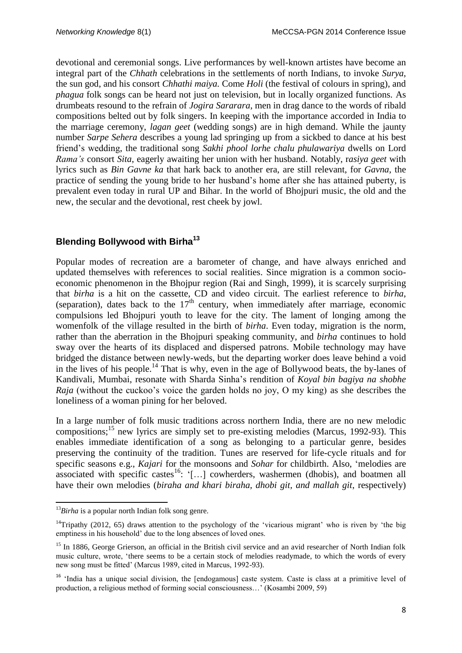devotional and ceremonial songs. Live performances by well-known artistes have become an integral part of the *Chhath* celebrations in the settlements of north Indians, to invoke *Surya*, the sun god, and his consort *Chhathi maiya.* Come *Holi* (the festival of colours in spring), and *phagua* folk songs can be heard not just on television, but in locally organized functions. As drumbeats resound to the refrain of *Jogira Sararara*, men in drag dance to the words of ribald compositions belted out by folk singers. In keeping with the importance accorded in India to the marriage ceremony, *lagan geet* (wedding songs) are in high demand. While the jaunty number *Sarpe Sehera* describes a young lad springing up from a sickbed to dance at his best friend's wedding, the traditional song *Sakhi phool lorhe chalu phulawariya* dwells on Lord *Rama's* consort *Sita*, eagerly awaiting her union with her husband. Notably, r*asiya geet* with lyrics such as *Bin Gavne ka* that hark back to another era, are still relevant, for *Gavna*, the practice of sending the young bride to her husband's home after she has attained puberty, is prevalent even today in rural UP and Bihar. In the world of Bhojpuri music, the old and the new, the secular and the devotional, rest cheek by jowl.

## **Blending Bollywood with Birha<sup>13</sup>**

Popular modes of recreation are a barometer of change, and have always enriched and updated themselves with references to social realities. Since migration is a common socioeconomic phenomenon in the Bhojpur region (Rai and Singh, 1999), it is scarcely surprising that *birha* is a hit on the cassette, CD and video circuit. The earliest reference to *birha*, (separation), dates back to the  $17<sup>th</sup>$  century, when immediately after marriage, economic compulsions led Bhojpuri youth to leave for the city. The lament of longing among the womenfolk of the village resulted in the birth of *birha*. Even today, migration is the norm, rather than the aberration in the Bhojpuri speaking community, and *birha* continues to hold sway over the hearts of its displaced and dispersed patrons. Mobile technology may have bridged the distance between newly-weds, but the departing worker does leave behind a void in the lives of his people.<sup>14</sup> That is why, even in the age of Bollywood beats, the by-lanes of Kandivali, Mumbai, resonate with Sharda Sinha's rendition of *Koyal bin bagiya na shobhe Raja* (without the cuckoo's voice the garden holds no joy, O my king) as she describes the loneliness of a woman pining for her beloved.

In a large number of folk music traditions across northern India, there are no new melodic compositions;<sup>15</sup> new lyrics are simply set to pre-existing melodies (Marcus, 1992-93). This enables immediate identification of a song as belonging to a particular genre, besides preserving the continuity of the tradition. Tunes are reserved for life-cycle rituals and for specific seasons e.g., *Kajari* for the monsoons and *Sohar* for childbirth. Also, 'melodies are associated with specific castes<sup>16</sup>: '[...] cowherders, washermen (dhobis), and boatmen all have their own melodies (*biraha and khari biraha, dhobi git, and mallah git*, respectively)

**.** 

<sup>&</sup>lt;sup>13</sup>Birha is a popular north Indian folk song genre.

<sup>&</sup>lt;sup>14</sup>Tripathy (2012, 65) draws attention to the psychology of the 'vicarious migrant' who is riven by 'the big emptiness in his household' due to the long absences of loved ones.

<sup>&</sup>lt;sup>15</sup> In 1886, George Grierson, an official in the British civil service and an avid researcher of North Indian folk music culture, wrote, 'there seems to be a certain stock of melodies readymade, to which the words of every new song must be fitted' (Marcus 1989, cited in Marcus, 1992-93).

<sup>&</sup>lt;sup>16</sup> 'India has a unique social division, the [endogamous] caste system. Caste is class at a primitive level of production, a religious method of forming social consciousness…' (Kosambi 2009, 59)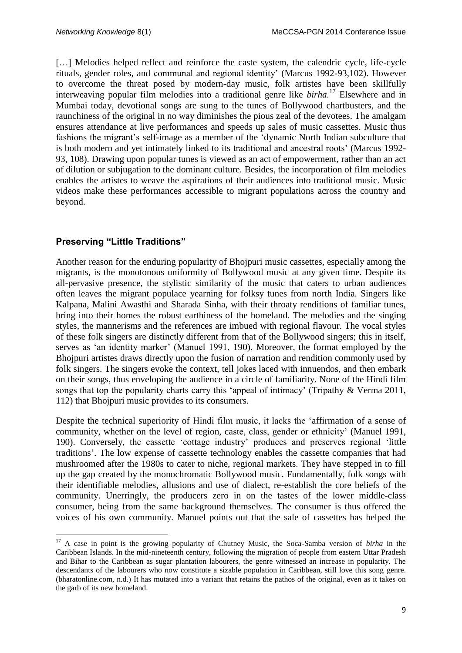[...] Melodies helped reflect and reinforce the caste system, the calendric cycle, life-cycle rituals, gender roles, and communal and regional identity' (Marcus 1992-93,102). However to overcome the threat posed by modern-day music, folk artistes have been skillfully interweaving popular film melodies into a traditional genre like *birha.*<sup>17</sup> Elsewhere and in Mumbai today, devotional songs are sung to the tunes of Bollywood chartbusters, and the raunchiness of the original in no way diminishes the pious zeal of the devotees. The amalgam ensures attendance at live performances and speeds up sales of music cassettes. Music thus fashions the migrant's self-image as a member of the 'dynamic North Indian subculture that is both modern and yet intimately linked to its traditional and ancestral roots' (Marcus 1992- 93, 108). Drawing upon popular tunes is viewed as an act of empowerment, rather than an act of dilution or subjugation to the dominant culture. Besides, the incorporation of film melodies enables the artistes to weave the aspirations of their audiences into traditional music. Music videos make these performances accessible to migrant populations across the country and beyond.

## **Preserving "Little Traditions"**

1

Another reason for the enduring popularity of Bhojpuri music cassettes, especially among the migrants, is the monotonous uniformity of Bollywood music at any given time. Despite its all-pervasive presence, the stylistic similarity of the music that caters to urban audiences often leaves the migrant populace yearning for folksy tunes from north India. Singers like Kalpana, Malini Awasthi and Sharada Sinha, with their throaty renditions of familiar tunes, bring into their homes the robust earthiness of the homeland. The melodies and the singing styles, the mannerisms and the references are imbued with regional flavour. The vocal styles of these folk singers are distinctly different from that of the Bollywood singers; this in itself, serves as 'an identity marker' (Manuel 1991, 190). Moreover, the format employed by the Bhojpuri artistes draws directly upon the fusion of narration and rendition commonly used by folk singers. The singers evoke the context, tell jokes laced with innuendos, and then embark on their songs, thus enveloping the audience in a circle of familiarity. None of the Hindi film songs that top the popularity charts carry this 'appeal of intimacy' (Tripathy & Verma 2011, 112) that Bhojpuri music provides to its consumers.

Despite the technical superiority of Hindi film music, it lacks the 'affirmation of a sense of community, whether on the level of region, caste, class, gender or ethnicity' (Manuel 1991, 190). Conversely, the cassette 'cottage industry' produces and preserves regional 'little traditions'. The low expense of cassette technology enables the cassette companies that had mushroomed after the 1980s to cater to niche, regional markets. They have stepped in to fill up the gap created by the monochromatic Bollywood music. Fundamentally, folk songs with their identifiable melodies, allusions and use of dialect, re-establish the core beliefs of the community. Unerringly, the producers zero in on the tastes of the lower middle-class consumer, being from the same background themselves. The consumer is thus offered the voices of his own community. Manuel points out that the sale of cassettes has helped the

<sup>&</sup>lt;sup>17</sup> A case in point is the growing popularity of Chutney Music, the Soca-Samba version of *birha* in the Caribbean Islands. In the mid-nineteenth century, following the migration of people from eastern Uttar Pradesh and Bihar to the Caribbean as sugar plantation labourers, the genre witnessed an increase in popularity. The descendants of the labourers who now constitute a sizable population in Caribbean, still love this song genre. (bharatonline.com, n.d.) It has mutated into a variant that retains the pathos of the original, even as it takes on the garb of its new homeland.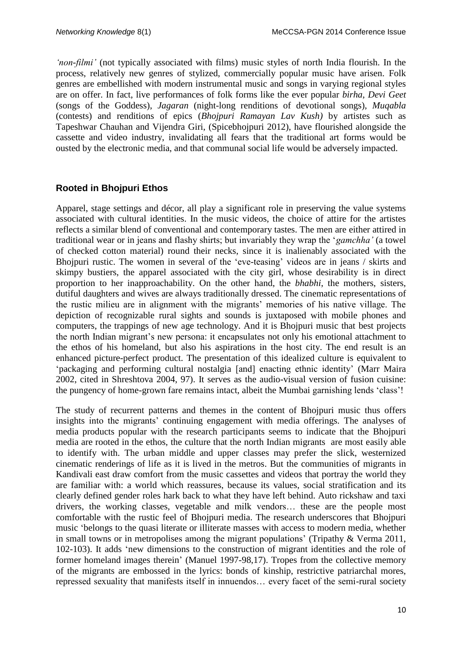*'non-filmi'* (not typically associated with films) music styles of north India flourish. In the process, relatively new genres of stylized, commercially popular music have arisen. Folk genres are embellished with modern instrumental music and songs in varying regional styles are on offer. In fact, live performances of folk forms like the ever popular *birha*, *Devi Geet* (songs of the Goddess), *Jagaran* (night-long renditions of devotional songs), *Muqabla* (contests) and renditions of epics (*Bhojpuri Ramayan Lav Kush)* by artistes such as Tapeshwar Chauhan and Vijendra Giri, (Spicebhojpuri 2012), have flourished alongside the cassette and video industry, invalidating all fears that the traditional art forms would be ousted by the electronic media, and that communal social life would be adversely impacted.

#### **Rooted in Bhojpuri Ethos**

Apparel, stage settings and décor, all play a significant role in preserving the value systems associated with cultural identities. In the music videos, the choice of attire for the artistes reflects a similar blend of conventional and contemporary tastes. The men are either attired in traditional wear or in jeans and flashy shirts; but invariably they wrap the '*gamchha'* (a towel of checked cotton material) round their necks, since it is inalienably associated with the Bhojpuri rustic. The women in several of the 'eve-teasing' videos are in jeans / skirts and skimpy bustiers, the apparel associated with the city girl, whose desirability is in direct proportion to her inapproachability. On the other hand, the *bhabhi*, the mothers, sisters, dutiful daughters and wives are always traditionally dressed. The cinematic representations of the rustic milieu are in alignment with the migrants' memories of his native village. The depiction of recognizable rural sights and sounds is juxtaposed with mobile phones and computers, the trappings of new age technology. And it is Bhojpuri music that best projects the north Indian migrant's new persona: it encapsulates not only his emotional attachment to the ethos of his homeland, but also his aspirations in the host city. The end result is an enhanced picture-perfect product. The presentation of this idealized culture is equivalent to 'packaging and performing cultural nostalgia [and] enacting ethnic identity' (Marr Maira 2002, cited in Shreshtova 2004, 97). It serves as the audio-visual version of fusion cuisine: the pungency of home-grown fare remains intact, albeit the Mumbai garnishing lends 'class'!

The study of recurrent patterns and themes in the content of Bhojpuri music thus offers insights into the migrants' continuing engagement with media offerings. The analyses of media products popular with the research participants seems to indicate that the Bhojpuri media are rooted in the ethos, the culture that the north Indian migrants are most easily able to identify with. The urban middle and upper classes may prefer the slick, westernized cinematic renderings of life as it is lived in the metros. But the communities of migrants in Kandivali east draw comfort from the music cassettes and videos that portray the world they are familiar with: a world which reassures, because its values, social stratification and its clearly defined gender roles hark back to what they have left behind. Auto rickshaw and taxi drivers, the working classes, vegetable and milk vendors… these are the people most comfortable with the rustic feel of Bhojpuri media. The research underscores that Bhojpuri music 'belongs to the quasi literate or illiterate masses with access to modern media, whether in small towns or in metropolises among the migrant populations' (Tripathy & Verma 2011, 102-103). It adds 'new dimensions to the construction of migrant identities and the role of former homeland images therein' (Manuel 1997-98,17). Tropes from the collective memory of the migrants are embossed in the lyrics: bonds of kinship, restrictive patriarchal mores, repressed sexuality that manifests itself in innuendos… every facet of the semi-rural society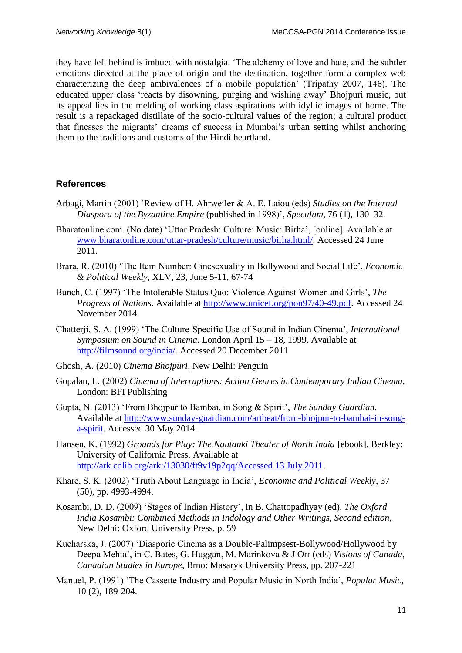they have left behind is imbued with nostalgia. 'The alchemy of love and hate, and the subtler emotions directed at the place of origin and the destination, together form a complex web characterizing the deep ambivalences of a mobile population' (Tripathy 2007, 146). The educated upper class 'reacts by disowning, purging and wishing away' Bhojpuri music, but its appeal lies in the melding of working class aspirations with idyllic images of home. The result is a repackaged distillate of the socio-cultural values of the region; a cultural product that finesses the migrants' dreams of success in Mumbai's urban setting whilst anchoring them to the traditions and customs of the Hindi heartland.

## **References**

- Arbagi, Martin (2001) 'Review of H. Ahrweiler & A. E. Laiou (eds) *Studies on the Internal Diaspora of the Byzantine Empire* (published in 1998)', *Speculum,* 76 (1), 130–32.
- Bharatonline.com. (No date) 'Uttar Pradesh: Culture: Music: Birha', [online]. Available at [www.bharatonline.com/uttar-pradesh/culture/music/birha.html/.](http://www.bharatonline.com/uttar-pradesh/culture/music/birha.html/) Accessed 24 June 2011.
- Brara, R. (2010) 'The Item Number: Cinesexuality in Bollywood and Social Life', *Economic & Political Weekly*, XLV, 23, June 5-11, 67-74
- Bunch, C. (1997) 'The Intolerable Status Quo: Violence Against Women and Girls', *The Progress of Nations*. Available at [http://www.unicef.org/pon97/40-49.pdf.](http://www.unicef.org/pon97/40-49.pdf) Accessed 24 November 2014.
- Chatterji, S. A. (1999) 'The Culture-Specific Use of Sound in Indian Cinema', *International Symposium on Sound in Cinema*. London April 15 – 18, 1999. Available at [http://filmsound.org/india/.](http://filmsound.org/india/) Accessed 20 December 2011
- Ghosh, A. (2010) *Cinema Bhojpuri*, New Delhi: Penguin
- Gopalan, L. (2002) *Cinema of Interruptions: Action Genres in Contemporary Indian Cinema*, London: BFI Publishing
- Gupta, N. (2013) 'From Bhojpur to Bambai, in Song & Spirit', *The Sunday Guardian*. Available at [http://www.sunday-guardian.com/artbeat/from-bhojpur-to-bambai-in-song](http://www.sunday-guardian.com/artbeat/from-bhojpur-to-bambai-in-song-a-spirit)[a-spirit.](http://www.sunday-guardian.com/artbeat/from-bhojpur-to-bambai-in-song-a-spirit) Accessed 30 May 2014.
- Hansen, K. (1992) *Grounds for Play: The Nautanki Theater of North India* [ebook], Berkley: University of California Press. Available at [http://ark.cdlib.org/ark:/13030/ft9v19p2qq/Accessed 13 July 2011.](http://ark.cdlib.org/ark:/13030/ft9v19p2qq/Accessed%2013%20July%202011)
- Khare, S. K. (2002) 'Truth About Language in India', *Economic and Political Weekly*, 37 (50), pp. 4993-4994.
- Kosambi, D. D. (2009) 'Stages of Indian History'*,* in B. Chattopadhyay (ed), *The Oxford India Kosambi: Combined Methods in Indology and Other Writings, Second edition,*  New Delhi: Oxford University Press, p. 59
- Kucharska, J. (2007) 'Diasporic Cinema as a Double-Palimpsest-Bollywood/Hollywood by Deepa Mehta', in C. Bates, G. Huggan, M. Marinkova & J Orr (eds) *Visions of Canada*, *Canadian Studies in Europe*, Brno: Masaryk University Press, pp. 207-221
- Manuel, P. (1991) 'The Cassette Industry and Popular Music in North India', *Popular Music*, 10 (2), 189-204.